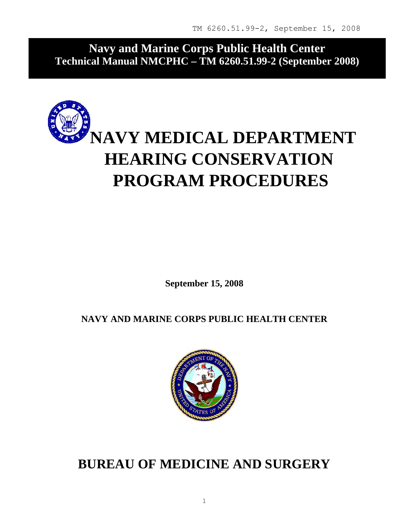**Navy and Marine Corps Public Health Center Technical Manual NMCPHC – TM 6260.51.99-2 (September 2008)** 



**September 15, 2008** 

**NAVY AND MARINE CORPS PUBLIC HEALTH CENTER** 



**BUREAU OF MEDICINE AND SURGERY**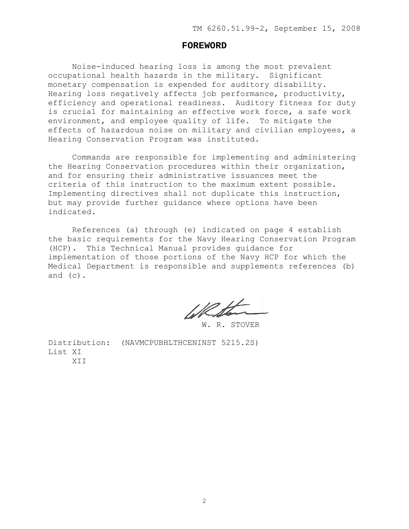#### **FOREWORD**

Noise-induced hearing loss is among the most prevalent occupational health hazards in the military. Significant monetary compensation is expended for auditory disability. Hearing loss negatively affects job performance, productivity, efficiency and operational readiness. Auditory fitness for duty is crucial for maintaining an effective work force, a safe work environment, and employee quality of life. To mitigate the effects of hazardous noise on military and civilian employees, a Hearing Conservation Program was instituted.

Commands are responsible for implementing and administering the Hearing Conservation procedures within their organization, and for ensuring their administrative issuances meet the criteria of this instruction to the maximum extent possible. Implementing directives shall not duplicate this instruction, but may provide further guidance where options have been indicated.

References (a) through (e) indicated on page 4 establish the basic requirements for the Navy Hearing Conservation Program (HCP). This Technical Manual provides guidance for implementation of those portions of the Navy HCP for which the Medical Department is responsible and supplements references (b) and (c).

W. R. STOVER

Distribution: (NAVMCPUBHLTHCENINST 5215.2S) List XI XII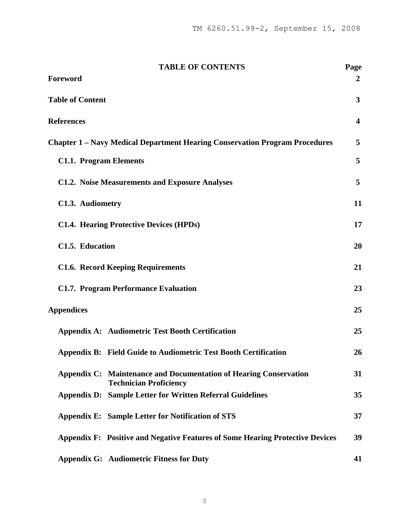| <b>TABLE OF CONTENTS</b>                                                                           | Page                    |
|----------------------------------------------------------------------------------------------------|-------------------------|
| Foreword                                                                                           | 2                       |
| <b>Table of Content</b>                                                                            | $\overline{\mathbf{3}}$ |
| <b>References</b>                                                                                  | $\overline{\mathbf{4}}$ |
| <b>Chapter 1 – Navy Medical Department Hearing Conservation Program Procedures</b>                 | 5                       |
| <b>C1.1. Program Elements</b>                                                                      | 5                       |
| <b>C1.2. Noise Measurements and Exposure Analyses</b>                                              | 5                       |
| C1.3. Audiometry                                                                                   | 11                      |
| <b>C1.4. Hearing Protective Devices (HPDs)</b>                                                     | 17                      |
| C1.5. Education                                                                                    | 20                      |
| <b>C1.6. Record Keeping Requirements</b>                                                           | 21                      |
| <b>C1.7. Program Performance Evaluation</b>                                                        | 23                      |
| <b>Appendices</b>                                                                                  | 25                      |
| <b>Appendix A: Audiometric Test Booth Certification</b>                                            | 25                      |
| <b>Appendix B: Field Guide to Audiometric Test Booth Certification</b>                             | 26                      |
| Appendix C: Maintenance and Documentation of Hearing Conservation<br><b>Technician Proficiency</b> | 31                      |
| <b>Appendix D: Sample Letter for Written Referral Guidelines</b>                                   | 35                      |
| <b>Appendix E: Sample Letter for Notification of STS</b>                                           | 37                      |
| <b>Appendix F: Positive and Negative Features of Some Hearing Protective Devices</b>               | 39                      |
| <b>Appendix G: Audiometric Fitness for Duty</b>                                                    | 41                      |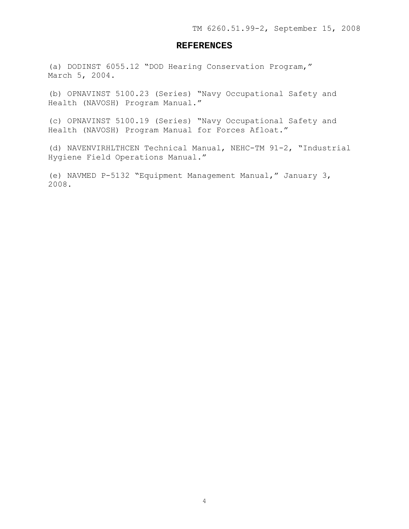## **REFERENCES**

(a) DODINST 6055.12 "DOD Hearing Conservation Program," March 5, 2004.

(b) OPNAVINST 5100.23 (Series) "Navy Occupational Safety and Health (NAVOSH) Program Manual."

(c) OPNAVINST 5100.19 (Series) "Navy Occupational Safety and Health (NAVOSH) Program Manual for Forces Afloat."

(d) NAVENVIRHLTHCEN Technical Manual, NEHC-TM 91-2, "Industrial Hygiene Field Operations Manual."

(e) NAVMED P-5132 "Equipment Management Manual," January 3, 2008.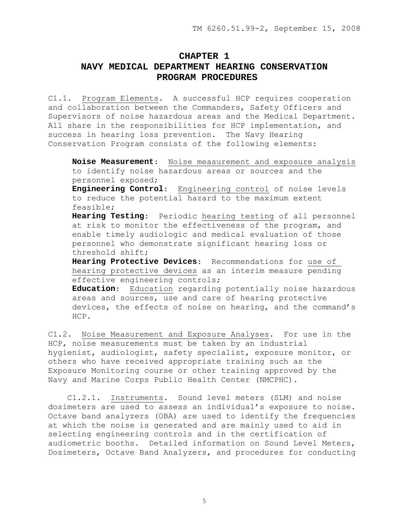## **CHAPTER 1 NAVY MEDICAL DEPARTMENT HEARING CONSERVATION PROGRAM PROCEDURES**

C1.1. Program Elements. A successful HCP requires cooperation and collaboration between the Commanders, Safety Officers and Supervisors of noise hazardous areas and the Medical Department. All share in the responsibilities for HCP implementation, and success in hearing loss prevention. The Navy Hearing Conservation Program consists of the following elements:

**Noise Measurement**: Noise measurement and exposure analysis to identify noise hazardous areas or sources and the personnel exposed;

**Engineering Control**: Engineering control of noise levels to reduce the potential hazard to the maximum extent feasible;

**Hearing Testing**: Periodic hearing testing of all personnel at risk to monitor the effectiveness of the program, and enable timely audiologic and medical evaluation of those personnel who demonstrate significant hearing loss or threshold shift;

**Hearing Protective Devices**: Recommendations for use of hearing protective devices as an interim measure pending effective engineering controls;

**Education**: Education regarding potentially noise hazardous areas and sources, use and care of hearing protective devices, the effects of noise on hearing, and the command's HCP.

C1.2. Noise Measurement and Exposure Analyses. For use in the HCP, noise measurements must be taken by an industrial hygienist, audiologist, safety specialist, exposure monitor, or others who have received appropriate training such as the Exposure Monitoring course or other training approved by the Navy and Marine Corps Public Health Center (NMCPHC).

 C1.2.1. Instruments. Sound level meters (SLM) and noise dosimeters are used to assess an individual's exposure to noise. Octave band analyzers (OBA) are used to identify the frequencies at which the noise is generated and are mainly used to aid in selecting engineering controls and in the certification of audiometric booths. Detailed information on Sound Level Meters, Dosimeters, Octave Band Analyzers, and procedures for conducting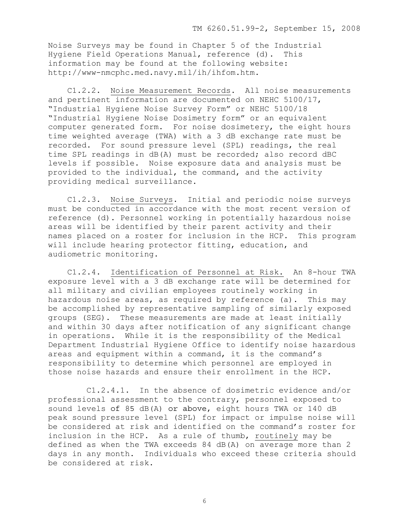Noise Surveys may be found in Chapter 5 of the Industrial Hygiene Field Operations Manual, reference (d). This information may be found at the following website: http://www-nmcphc.med.navy.mil/ih/ihfom.htm.

 C1.2.2. Noise Measurement Records. All noise measurements and pertinent information are documented on NEHC 5100/17, "Industrial Hygiene Noise Survey Form" or NEHC 5100/18 "Industrial Hygiene Noise Dosimetry form" or an equivalent computer generated form. For noise dosimetery, the eight hours time weighted average (TWA) with a 3 dB exchange rate must be recorded. For sound pressure level (SPL) readings, the real time SPL readings in dB(A) must be recorded; also record dBC levels if possible. Noise exposure data and analysis must be provided to the individual, the command, and the activity providing medical surveillance.

 C1.2.3. Noise Surveys. Initial and periodic noise surveys must be conducted in accordance with the most recent version of reference (d). Personnel working in potentially hazardous noise areas will be identified by their parent activity and their names placed on a roster for inclusion in the HCP. This program will include hearing protector fitting, education, and audiometric monitoring.

 C1.2.4. Identification of Personnel at Risk. An 8-hour TWA exposure level with a 3 dB exchange rate will be determined for all military and civilian employees routinely working in hazardous noise areas, as required by reference (a). This may be accomplished by representative sampling of similarly exposed groups (SEG). These measurements are made at least initially and within 30 days after notification of any significant change in operations. While it is the responsibility of the Medical Department Industrial Hygiene Office to identify noise hazardous areas and equipment within a command, it is the command's responsibility to determine which personnel are employed in those noise hazards and ensure their enrollment in the HCP.

 C1.2.4.1. In the absence of dosimetric evidence and/or professional assessment to the contrary, personnel exposed to sound levels of 85 dB(A) or above, eight hours TWA or 140 dB peak sound pressure level (SPL) for impact or impulse noise will be considered at risk and identified on the command's roster for inclusion in the HCP. As a rule of thumb, routinely may be defined as when the TWA exceeds 84 dB(A) on average more than 2 days in any month. Individuals who exceed these criteria should be considered at risk.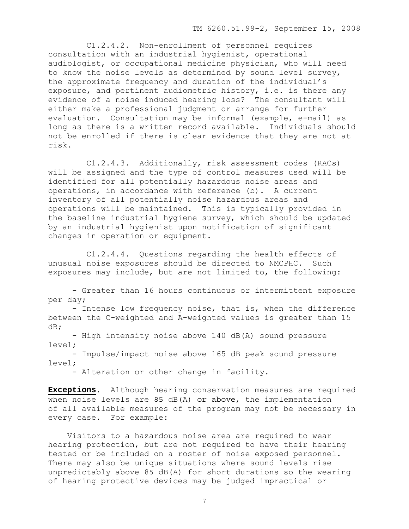C1.2.4.2. Non-enrollment of personnel requires consultation with an industrial hygienist, operational audiologist, or occupational medicine physician, who will need to know the noise levels as determined by sound level survey, the approximate frequency and duration of the individual's exposure, and pertinent audiometric history, i.e. is there any evidence of a noise induced hearing loss? The consultant will either make a professional judgment or arrange for further evaluation. Consultation may be informal (example, e-mail) as long as there is a written record available. Individuals should not be enrolled if there is clear evidence that they are not at risk.

 C1.2.4.3. Additionally, risk assessment codes (RACs) will be assigned and the type of control measures used will be identified for all potentially hazardous noise areas and operations, in accordance with reference (b). A current inventory of all potentially noise hazardous areas and operations will be maintained. This is typically provided in the baseline industrial hygiene survey, which should be updated by an industrial hygienist upon notification of significant changes in operation or equipment.

 C1.2.4.4. Questions regarding the health effects of unusual noise exposures should be directed to NMCPHC. Such exposures may include, but are not limited to, the following:

- Greater than 16 hours continuous or intermittent exposure per day;

- Intense low frequency noise, that is, when the difference between the C-weighted and A-weighted values is greater than 15 dB;

- High intensity noise above 140 dB(A) sound pressure level;

- Impulse/impact noise above 165 dB peak sound pressure level;

- Alteration or other change in facility.

**Exceptions**. Although hearing conservation measures are required when noise levels are 85 dB(A) or above, the implementation of all available measures of the program may not be necessary in every case. For example:

Visitors to a hazardous noise area are required to wear hearing protection, but are not required to have their hearing tested or be included on a roster of noise exposed personnel. There may also be unique situations where sound levels rise unpredictably above 85 dB(A) for short durations so the wearing of hearing protective devices may be judged impractical or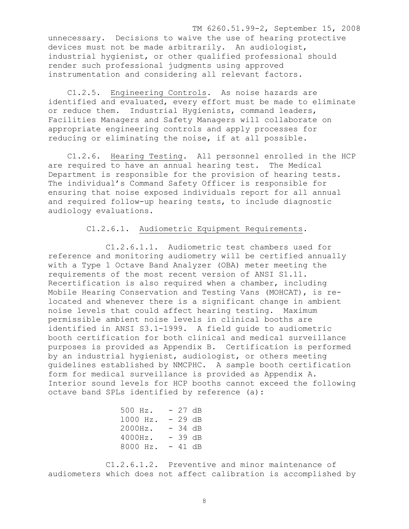TM 6260.51.99-2, September 15, 2008 unnecessary. Decisions to waive the use of hearing protective devices must not be made arbitrarily. An audiologist, industrial hygienist, or other qualified professional should render such professional judgments using approved instrumentation and considering all relevant factors.

 C1.2.5. Engineering Controls. As noise hazards are identified and evaluated, every effort must be made to eliminate or reduce them. Industrial Hygienists, command leaders, Facilities Managers and Safety Managers will collaborate on appropriate engineering controls and apply processes for reducing or eliminating the noise, if at all possible.

 C1.2.6. Hearing Testing. All personnel enrolled in the HCP are required to have an annual hearing test. The Medical Department is responsible for the provision of hearing tests. The individual's Command Safety Officer is responsible for ensuring that noise exposed individuals report for all annual and required follow-up hearing tests, to include diagnostic audiology evaluations.

## C1.2.6.1. Audiometric Equipment Requirements.

 C1.2.6.1.1. Audiometric test chambers used for reference and monitoring audiometry will be certified annually with a Type 1 Octave Band Analyzer (OBA) meter meeting the requirements of the most recent version of ANSI S1.11. Recertification is also required when a chamber, including Mobile Hearing Conservation and Testing Vans (MOHCAT), is relocated and whenever there is a significant change in ambient noise levels that could affect hearing testing. Maximum permissible ambient noise levels in clinical booths are identified in ANSI S3.1-1999. A field guide to audiometric booth certification for both clinical and medical surveillance purposes is provided as Appendix B. Certification is performed by an industrial hygienist, audiologist, or others meeting guidelines established by NMCPHC. A sample booth certification form for medical surveillance is provided as Appendix A. Interior sound levels for HCP booths cannot exceed the following octave band SPLs identified by reference (a):

| $-27 dB$ |
|----------|
| $29$ dB  |
| - 34 dB  |
| - 39 dB  |
| - 41 dB  |
|          |

 C1.2.6.1.2. Preventive and minor maintenance of audiometers which does not affect calibration is accomplished by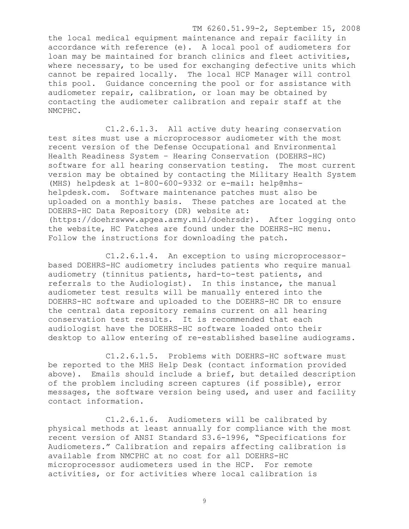TM 6260.51.99-2, September 15, 2008

the local medical equipment maintenance and repair facility in accordance with reference (e). A local pool of audiometers for loan may be maintained for branch clinics and fleet activities, where necessary, to be used for exchanging defective units which cannot be repaired locally. The local HCP Manager will control this pool. Guidance concerning the pool or for assistance with audiometer repair, calibration, or loan may be obtained by contacting the audiometer calibration and repair staff at the NMCPHC.

 C1.2.6.1.3. All active duty hearing conservation test sites must use a microprocessor audiometer with the most recent version of the Defense Occupational and Environmental Health Readiness System – Hearing Conservation (DOEHRS-HC) software for all hearing conservation testing. The most current version may be obtained by contacting the Military Health System (MHS) helpdesk at 1-800-600-9332 or e-mail: help@mhshelpdesk.com. Software maintenance patches must also be uploaded on a monthly basis. These patches are located at the DOEHRS-HC Data Repository (DR) website at: (https://doehrswww.apgea.army.mil/doehrsdr). After logging onto the website, HC Patches are found under the DOEHRS-HC menu. Follow the instructions for downloading the patch.

 C1.2.6.1.4. An exception to using microprocessorbased DOEHRS-HC audiometry includes patients who require manual audiometry (tinnitus patients, hard-to-test patients, and referrals to the Audiologist). In this instance, the manual audiometer test results will be manually entered into the DOEHRS-HC software and uploaded to the DOEHRS-HC DR to ensure the central data repository remains current on all hearing conservation test results. It is recommended that each audiologist have the DOEHRS-HC software loaded onto their desktop to allow entering of re-established baseline audiograms.

 C1.2.6.1.5. Problems with DOEHRS-HC software must be reported to the MHS Help Desk (contact information provided above). Emails should include a brief, but detailed description of the problem including screen captures (if possible), error messages, the software version being used, and user and facility contact information.

 C1.2.6.1.6. Audiometers will be calibrated by physical methods at least annually for compliance with the most recent version of ANSI Standard S3.6-1996, "Specifications for Audiometers." Calibration and repairs affecting calibration is available from NMCPHC at no cost for all DOEHRS-HC microprocessor audiometers used in the HCP. For remote activities, or for activities where local calibration is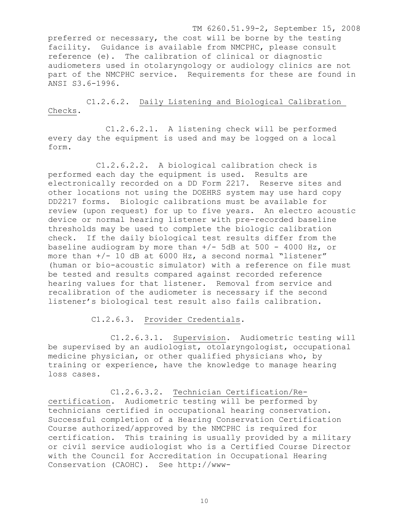TM 6260.51.99-2, September 15, 2008 preferred or necessary, the cost will be borne by the testing facility. Guidance is available from NMCPHC, please consult reference (e). The calibration of clinical or diagnostic audiometers used in otolaryngology or audiology clinics are not part of the NMCPHC service. Requirements for these are found in ANSI S3.6-1996.

 C1.2.6.2. Daily Listening and Biological Calibration Checks.

 C1.2.6.2.1. A listening check will be performed every day the equipment is used and may be logged on a local form.

 C1.2.6.2.2. A biological calibration check is performed each day the equipment is used. Results are electronically recorded on a DD Form 2217. Reserve sites and other locations not using the DOEHRS system may use hard copy DD2217 forms. Biologic calibrations must be available for review (upon request) for up to five years. An electro acoustic device or normal hearing listener with pre-recorded baseline thresholds may be used to complete the biologic calibration check. If the daily biological test results differ from the baseline audiogram by more than  $+/-$  5dB at 500 - 4000 Hz, or more than +/- 10 dB at 6000 Hz, a second normal "listener" (human or bio-acoustic simulator) with a reference on file must be tested and results compared against recorded reference hearing values for that listener. Removal from service and recalibration of the audiometer is necessary if the second listener's biological test result also fails calibration.

C1.2.6.3. Provider Credentials.

 C1.2.6.3.1. Supervision. Audiometric testing will be supervised by an audiologist, otolaryngologist, occupational medicine physician, or other qualified physicians who, by training or experience, have the knowledge to manage hearing loss cases.

 C1.2.6.3.2. Technician Certification/Recertification. Audiometric testing will be performed by technicians certified in occupational hearing conservation. Successful completion of a Hearing Conservation Certification Course authorized/approved by the NMCPHC is required for certification. This training is usually provided by a military or civil service audiologist who is a Certified Course Director with the Council for Accreditation in Occupational Hearing Conservation (CAOHC). See http://www-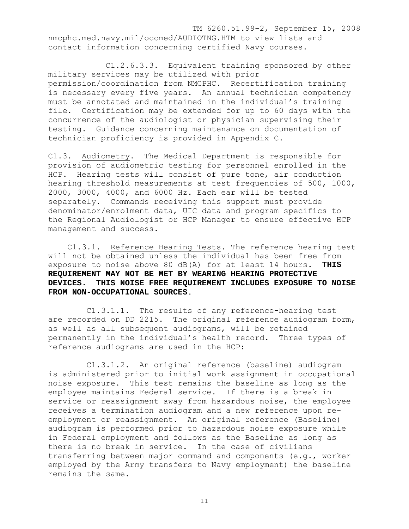TM 6260.51.99-2, September 15, 2008 nmcphc.med.navy.mil/occmed/AUDIOTNG.HTM to view lists and contact information concerning certified Navy courses.

 C1.2.6.3.3. Equivalent training sponsored by other military services may be utilized with prior permission/coordination from NMCPHC. Recertification training is necessary every five years. An annual technician competency must be annotated and maintained in the individual's training file. Certification may be extended for up to 60 days with the concurrence of the audiologist or physician supervising their testing. Guidance concerning maintenance on documentation of technician proficiency is provided in Appendix C.

C1.3. Audiometry. The Medical Department is responsible for provision of audiometric testing for personnel enrolled in the HCP. Hearing tests will consist of pure tone, air conduction hearing threshold measurements at test frequencies of 500, 1000, 2000, 3000, 4000, and 6000 Hz. Each ear will be tested separately. Commands receiving this support must provide denominator/enrolment data, UIC data and program specifics to the Regional Audiologist or HCP Manager to ensure effective HCP management and success.

 C1.3.1. Reference Hearing Tests. The reference hearing test will not be obtained unless the individual has been free from exposure to noise above 80 dB(A) for at least 14 hours. **THIS REQUIREMENT MAY NOT BE MET BY WEARING HEARING PROTECTIVE DEVICES. THIS NOISE FREE REQUIREMENT INCLUDES EXPOSURE TO NOISE FROM NON-OCCUPATIONAL SOURCES**.

 C1.3.1.1. The results of any reference-hearing test are recorded on DD 2215. The original reference audiogram form, as well as all subsequent audiograms, will be retained permanently in the individual's health record. Three types of reference audiograms are used in the HCP:

 C1.3.1.2. An original reference (baseline) audiogram is administered prior to initial work assignment in occupational noise exposure. This test remains the baseline as long as the employee maintains Federal service. If there is a break in service or reassignment away from hazardous noise, the employee receives a termination audiogram and a new reference upon reemployment or reassignment. An original reference (Baseline) audiogram is performed prior to hazardous noise exposure while in Federal employment and follows as the Baseline as long as there is no break in service. In the case of civilians transferring between major command and components (e.g., worker employed by the Army transfers to Navy employment) the baseline remains the same.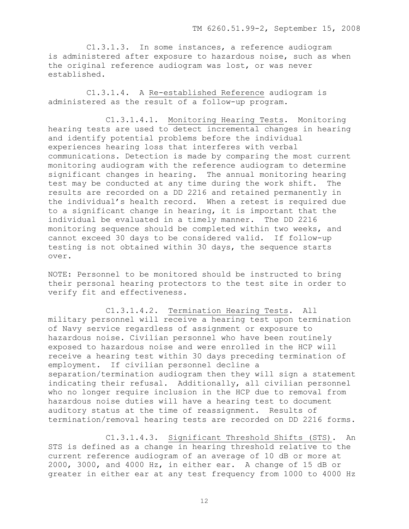C1.3.1.3. In some instances, a reference audiogram is administered after exposure to hazardous noise, such as when the original reference audiogram was lost, or was never established.

 C1.3.1.4. A Re-established Reference audiogram is administered as the result of a follow-up program.

 C1.3.1.4.1. Monitoring Hearing Tests. Monitoring hearing tests are used to detect incremental changes in hearing and identify potential problems before the individual experiences hearing loss that interferes with verbal communications. Detection is made by comparing the most current monitoring audiogram with the reference audiogram to determine significant changes in hearing. The annual monitoring hearing test may be conducted at any time during the work shift. The results are recorded on a DD 2216 and retained permanently in the individual's health record. When a retest is required due to a significant change in hearing, it is important that the individual be evaluated in a timely manner. The DD 2216 monitoring sequence should be completed within two weeks, and cannot exceed 30 days to be considered valid. If follow-up testing is not obtained within 30 days, the sequence starts over.

NOTE: Personnel to be monitored should be instructed to bring their personal hearing protectors to the test site in order to verify fit and effectiveness.

 C1.3.1.4.2. Termination Hearing Tests. All military personnel will receive a hearing test upon termination of Navy service regardless of assignment or exposure to hazardous noise. Civilian personnel who have been routinely exposed to hazardous noise and were enrolled in the HCP will receive a hearing test within 30 days preceding termination of employment. If civilian personnel decline a separation/termination audiogram then they will sign a statement indicating their refusal. Additionally, all civilian personnel who no longer require inclusion in the HCP due to removal from hazardous noise duties will have a hearing test to document auditory status at the time of reassignment. Results of termination/removal hearing tests are recorded on DD 2216 forms.

 C1.3.1.4.3. Significant Threshold Shifts (STS). An STS is defined as a change in hearing threshold relative to the current reference audiogram of an average of 10 dB or more at 2000, 3000, and 4000 Hz, in either ear. A change of 15 dB or greater in either ear at any test frequency from 1000 to 4000 Hz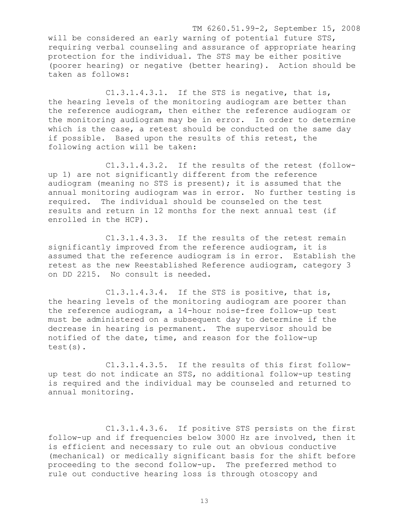TM 6260.51.99-2, September 15, 2008 will be considered an early warning of potential future STS, requiring verbal counseling and assurance of appropriate hearing protection for the individual. The STS may be either positive (poorer hearing) or negative (better hearing). Action should be taken as follows:

 C1.3.1.4.3.1. If the STS is negative, that is, the hearing levels of the monitoring audiogram are better than the reference audiogram, then either the reference audiogram or the monitoring audiogram may be in error. In order to determine which is the case, a retest should be conducted on the same day if possible. Based upon the results of this retest, the following action will be taken:

 C1.3.1.4.3.2. If the results of the retest (followup 1) are not significantly different from the reference audiogram (meaning no STS is present); it is assumed that the annual monitoring audiogram was in error. No further testing is required. The individual should be counseled on the test results and return in 12 months for the next annual test (if enrolled in the HCP).

 C1.3.1.4.3.3. If the results of the retest remain significantly improved from the reference audiogram, it is assumed that the reference audiogram is in error. Establish the retest as the new Reestablished Reference audiogram, category 3 on DD 2215. No consult is needed.

 C1.3.1.4.3.4. If the STS is positive, that is, the hearing levels of the monitoring audiogram are poorer than the reference audiogram, a 14-hour noise-free follow-up test must be administered on a subsequent day to determine if the decrease in hearing is permanent. The supervisor should be notified of the date, time, and reason for the follow-up test(s).

 C1.3.1.4.3.5. If the results of this first followup test do not indicate an STS, no additional follow-up testing is required and the individual may be counseled and returned to annual monitoring.

 C1.3.1.4.3.6. If positive STS persists on the first follow-up and if frequencies below 3000 Hz are involved, then it is efficient and necessary to rule out an obvious conductive (mechanical) or medically significant basis for the shift before proceeding to the second follow-up. The preferred method to rule out conductive hearing loss is through otoscopy and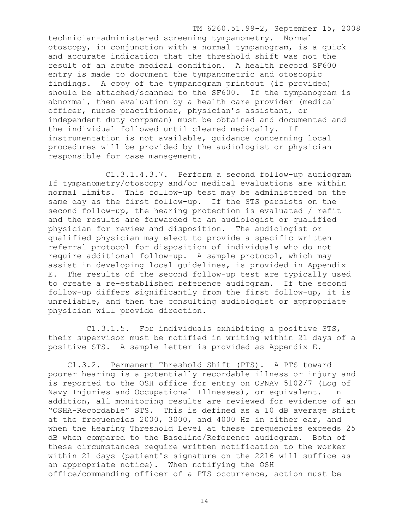TM 6260.51.99-2, September 15, 2008

technician-administered screening tympanometry. Normal otoscopy, in conjunction with a normal tympanogram, is a quick and accurate indication that the threshold shift was not the result of an acute medical condition. A health record SF600 entry is made to document the tympanometric and otoscopic findings. A copy of the tympanogram printout (if provided) should be attached/scanned to the SF600. If the tympanogram is abnormal, then evaluation by a health care provider (medical officer, nurse practitioner, physician's assistant, or independent duty corpsman) must be obtained and documented and the individual followed until cleared medically. If instrumentation is not available, guidance concerning local procedures will be provided by the audiologist or physician responsible for case management.

 C1.3.1.4.3.7. Perform a second follow-up audiogram If tympanometry/otoscopy and/or medical evaluations are within normal limits. This follow-up test may be administered on the same day as the first follow-up. If the STS persists on the second follow-up, the hearing protection is evaluated / refit and the results are forwarded to an audiologist or qualified physician for review and disposition. The audiologist or qualified physician may elect to provide a specific written referral protocol for disposition of individuals who do not require additional follow-up. A sample protocol, which may assist in developing local guidelines, is provided in Appendix E. The results of the second follow-up test are typically used to create a re-established reference audiogram. If the second follow-up differs significantly from the first follow-up, it is unreliable, and then the consulting audiologist or appropriate physician will provide direction.

 C1.3.1.5. For individuals exhibiting a positive STS, their supervisor must be notified in writing within 21 days of a positive STS. A sample letter is provided as Appendix E.

 C1.3.2. Permanent Threshold Shift (PTS). A PTS toward poorer hearing is a potentially recordable illness or injury and is reported to the OSH office for entry on OPNAV 5102/7 (Log of Navy Injuries and Occupational Illnesses), or equivalent. In addition, all monitoring results are reviewed for evidence of an "OSHA-Recordable" STS. This is defined as a 10 dB average shift at the frequencies 2000, 3000, and 4000 Hz in either ear, and when the Hearing Threshold Level at these frequencies exceeds 25 dB when compared to the Baseline/Reference audiogram. Both of these circumstances require written notification to the worker within 21 days (patient's signature on the 2216 will suffice as an appropriate notice). When notifying the OSH office/commanding officer of a PTS occurrence, action must be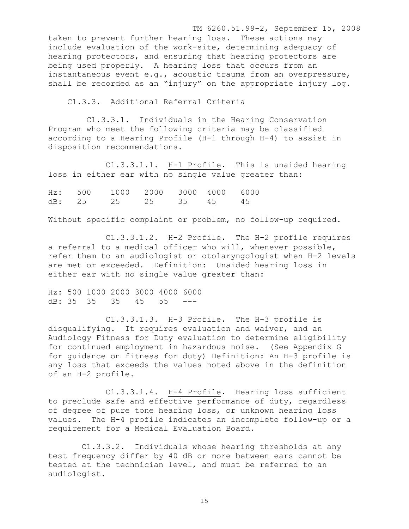TM 6260.51.99-2, September 15, 2008 taken to prevent further hearing loss. These actions may include evaluation of the work-site, determining adequacy of hearing protectors, and ensuring that hearing protectors are being used properly. A hearing loss that occurs from an instantaneous event e.g., acoustic trauma from an overpressure, shall be recorded as an "injury" on the appropriate injury log.

C1.3.3. Additional Referral Criteria

 C1.3.3.1. Individuals in the Hearing Conservation Program who meet the following criteria may be classified according to a Hearing Profile (H-1 through H-4) to assist in disposition recommendations.

 C1.3.3.1.1. H-1 Profile**.** This is unaided hearing loss in either ear with no single value greater than:

Hz: 500 1000 2000 3000 4000 6000 dB: 25 25 25 35 45 45

Without specific complaint or problem, no follow-up required.

 C1.3.3.1.2. H-2 Profile**.** The H-2 profile requires a referral to a medical officer who will, whenever possible, refer them to an audiologist or otolaryngologist when H-2 levels are met or exceeded. Definition: Unaided hearing loss in either ear with no single value greater than:

Hz: 500 1000 2000 3000 4000 6000 dB: 35 35 35 45 55 ---

 C1.3.3.1.3. H-3 Profile**.** The H-3 profile is disqualifying. It requires evaluation and waiver, and an Audiology Fitness for Duty evaluation to determine eligibility for continued employment in hazardous noise. (See Appendix G for guidance on fitness for duty) Definition: An H-3 profile is any loss that exceeds the values noted above in the definition of an H-2 profile.

 C1.3.3.1.4. H-4 Profile**.** Hearing loss sufficient to preclude safe and effective performance of duty, regardless of degree of pure tone hearing loss, or unknown hearing loss values. The H-4 profile indicates an incomplete follow-up or a requirement for a Medical Evaluation Board.

 C1.3.3.2. Individuals whose hearing thresholds at any test frequency differ by 40 dB or more between ears cannot be tested at the technician level, and must be referred to an audiologist.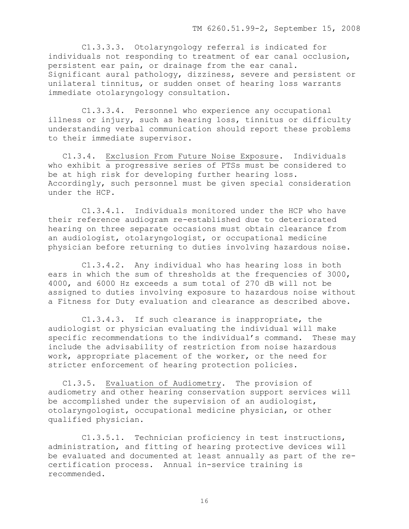C1.3.3.3. Otolaryngology referral is indicated for individuals not responding to treatment of ear canal occlusion, persistent ear pain, or drainage from the ear canal. Significant aural pathology, dizziness, severe and persistent or unilateral tinnitus, or sudden onset of hearing loss warrants immediate otolaryngology consultation.

 C1.3.3.4. Personnel who experience any occupational illness or injury, such as hearing loss, tinnitus or difficulty understanding verbal communication should report these problems to their immediate supervisor.

 C1.3.4. Exclusion From Future Noise Exposure. Individuals who exhibit a progressive series of PTSs must be considered to be at high risk for developing further hearing loss. Accordingly, such personnel must be given special consideration under the HCP.

 C1.3.4.1. Individuals monitored under the HCP who have their reference audiogram re-established due to deteriorated hearing on three separate occasions must obtain clearance from an audiologist, otolaryngologist, or occupational medicine physician before returning to duties involving hazardous noise.

 C1.3.4.2. Any individual who has hearing loss in both ears in which the sum of thresholds at the frequencies of 3000, 4000, and 6000 Hz exceeds a sum total of 270 dB will not be assigned to duties involving exposure to hazardous noise without a Fitness for Duty evaluation and clearance as described above.

 C1.3.4.3. If such clearance is inappropriate, the audiologist or physician evaluating the individual will make specific recommendations to the individual's command. These may include the advisability of restriction from noise hazardous work, appropriate placement of the worker, or the need for stricter enforcement of hearing protection policies.

 C1.3.5. Evaluation of Audiometry. The provision of audiometry and other hearing conservation support services will be accomplished under the supervision of an audiologist, otolaryngologist, occupational medicine physician, or other qualified physician.

 C1.3.5.1. Technician proficiency in test instructions, administration, and fitting of hearing protective devices will be evaluated and documented at least annually as part of the recertification process. Annual in-service training is recommended.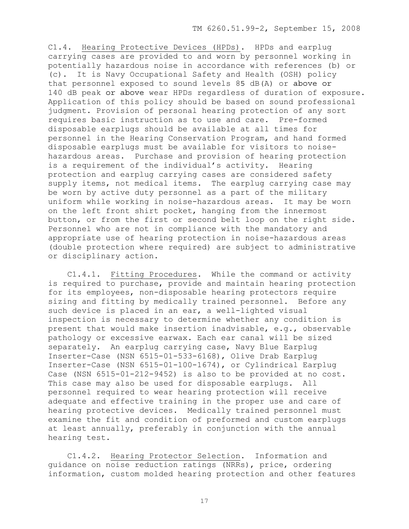C1.4. Hearing Protective Devices (HPDs). HPDs and earplug carrying cases are provided to and worn by personnel working in potentially hazardous noise in accordance with references (b) or (c). It is Navy Occupational Safety and Health (OSH) policy that personnel exposed to sound levels 85 dB(A) or above or 140 dB peak or above wear HPDs regardless of duration of exposure. Application of this policy should be based on sound professional judgment. Provision of personal hearing protection of any sort requires basic instruction as to use and care. Pre-formed disposable earplugs should be available at all times for personnel in the Hearing Conservation Program, and hand formed disposable earplugs must be available for visitors to noisehazardous areas. Purchase and provision of hearing protection is a requirement of the individual's activity. Hearing protection and earplug carrying cases are considered safety supply items, not medical items. The earplug carrying case may be worn by active duty personnel as a part of the military uniform while working in noise-hazardous areas. It may be worn on the left front shirt pocket, hanging from the innermost button, or from the first or second belt loop on the right side. Personnel who are not in compliance with the mandatory and appropriate use of hearing protection in noise-hazardous areas (double protection where required) are subject to administrative or disciplinary action.

 C1.4.1. Fitting Procedures. While the command or activity is required to purchase, provide and maintain hearing protection for its employees, non-disposable hearing protectors require sizing and fitting by medically trained personnel. Before any such device is placed in an ear, a well-lighted visual inspection is necessary to determine whether any condition is present that would make insertion inadvisable, e.g., observable pathology or excessive earwax. Each ear canal will be sized separately. An earplug carrying case, Navy Blue Earplug Inserter-Case (NSN 6515-01-533-6168), Olive Drab Earplug Inserter-Case (NSN 6515-01-100-1674), or Cylindrical Earplug Case (NSN 6515-01-212-9452) is also to be provided at no cost. This case may also be used for disposable earplugs. All personnel required to wear hearing protection will receive adequate and effective training in the proper use and care of hearing protective devices. Medically trained personnel must examine the fit and condition of preformed and custom earplugs at least annually, preferably in conjunction with the annual hearing test.

 C1.4.2. Hearing Protector Selection. Information and guidance on noise reduction ratings (NRRs), price, ordering information, custom molded hearing protection and other features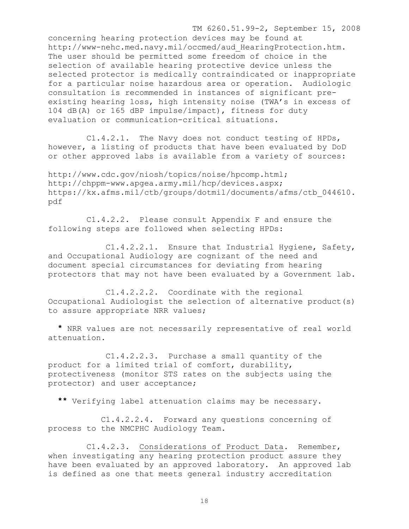TM 6260.51.99-2, September 15, 2008 concerning hearing protection devices may be found at http://www-nehc.med.navy.mil/occmed/aud\_HearingProtection.htm. The user should be permitted some freedom of choice in the selection of available hearing protective device unless the selected protector is medically contraindicated or inappropriate for a particular noise hazardous area or operation. Audiologic consultation is recommended in instances of significant preexisting hearing loss, high intensity noise (TWA's in excess of 104 dB(A) or 165 dBP impulse/impact), fitness for duty evaluation or communication-critical situations.

 C1.4.2.1. The Navy does not conduct testing of HPDs, however, a listing of products that have been evaluated by DoD or other approved labs is available from a variety of sources:

http://www.cdc.gov/niosh/topics/noise/hpcomp.html; http://chppm-www.apgea.army.mil/hcp/devices.aspx; https://kx.afms.mil/ctb/groups/dotmil/documents/afms/ctb\_044610. pdf

 C1.4.2.2. Please consult Appendix F and ensure the following steps are followed when selecting HPDs:

 C1.4.2.2.1. Ensure that Industrial Hygiene, Safety, and Occupational Audiology are cognizant of the need and document special circumstances for deviating from hearing protectors that may not have been evaluated by a Government lab.

 C1.4.2.2.2. Coordinate with the regional Occupational Audiologist the selection of alternative product(s) to assure appropriate NRR values;

 **\*** NRR values are not necessarily representative of real world attenuation.

 C1.4.2.2.3. Purchase a small quantity of the product for a limited trial of comfort, durability, protectiveness (monitor STS rates on the subjects using the protector) and user acceptance;

**\*\*** Verifying label attenuation claims may be necessary.

 C1.4.2.2.4. Forward any questions concerning of process to the NMCPHC Audiology Team.

 C1.4.2.3. Considerations of Product Data. Remember, when investigating any hearing protection product assure they have been evaluated by an approved laboratory. An approved lab is defined as one that meets general industry accreditation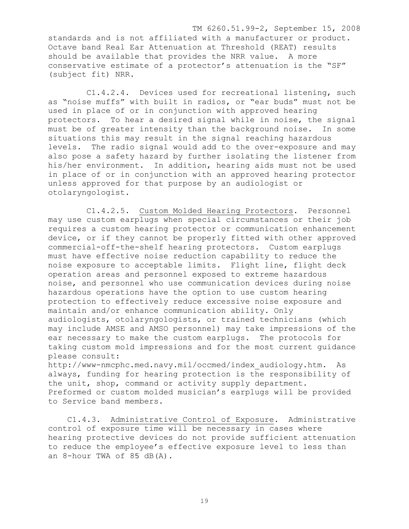TM 6260.51.99-2, September 15, 2008 standards and is not affiliated with a manufacturer or product. Octave band Real Ear Attenuation at Threshold (REAT) results should be available that provides the NRR value. A more conservative estimate of a protector's attenuation is the "SF" (subject fit) NRR.

 C1.4.2.4. Devices used for recreational listening, such as "noise muffs" with built in radios, or "ear buds" must not be used in place of or in conjunction with approved hearing protectors. To hear a desired signal while in noise, the signal must be of greater intensity than the background noise. In some situations this may result in the signal reaching hazardous levels. The radio signal would add to the over-exposure and may also pose a safety hazard by further isolating the listener from his/her environment. In addition, hearing aids must not be used in place of or in conjunction with an approved hearing protector unless approved for that purpose by an audiologist or otolaryngologist.

 C1.4.2.5. Custom Molded Hearing Protectors. Personnel may use custom earplugs when special circumstances or their job requires a custom hearing protector or communication enhancement device, or if they cannot be properly fitted with other approved commercial-off-the-shelf hearing protectors. Custom earplugs must have effective noise reduction capability to reduce the noise exposure to acceptable limits. Flight line, flight deck operation areas and personnel exposed to extreme hazardous noise, and personnel who use communication devices during noise hazardous operations have the option to use custom hearing protection to effectively reduce excessive noise exposure and maintain and/or enhance communication ability. Only audiologists, otolaryngologists, or trained technicians (which may include AMSE and AMSO personnel) may take impressions of the ear necessary to make the custom earplugs. The protocols for taking custom mold impressions and for the most current guidance please consult:

http://www-nmcphc.med.navy.mil/occmed/index\_audiology.htm. As always, funding for hearing protection is the responsibility of the unit, shop, command or activity supply department. Preformed or custom molded musician's earplugs will be provided to Service band members.

 C1.4.3. Administrative Control of Exposure. Administrative control of exposure time will be necessary in cases where hearing protective devices do not provide sufficient attenuation to reduce the employee's effective exposure level to less than an 8-hour TWA of 85 dB(A).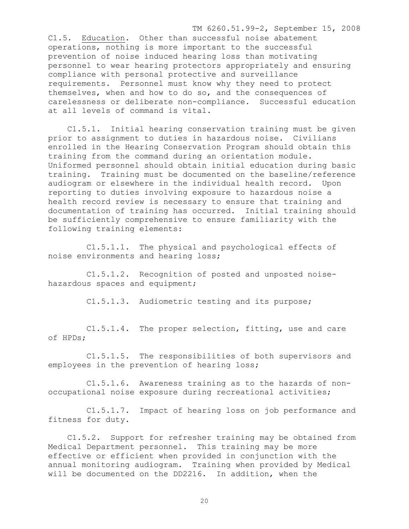TM 6260.51.99-2, September 15, 2008 C1.5. Education. Other than successful noise abatement operations, nothing is more important to the successful prevention of noise induced hearing loss than motivating personnel to wear hearing protectors appropriately and ensuring compliance with personal protective and surveillance requirements. Personnel must know why they need to protect themselves, when and how to do so, and the consequences of carelessness or deliberate non-compliance. Successful education at all levels of command is vital.

 C1.5.1. Initial hearing conservation training must be given prior to assignment to duties in hazardous noise. Civilians enrolled in the Hearing Conservation Program should obtain this training from the command during an orientation module. Uniformed personnel should obtain initial education during basic training. Training must be documented on the baseline/reference audiogram or elsewhere in the individual health record. Upon reporting to duties involving exposure to hazardous noise a health record review is necessary to ensure that training and documentation of training has occurred. Initial training should be sufficiently comprehensive to ensure familiarity with the following training elements:

 C1.5.1.1. The physical and psychological effects of noise environments and hearing loss;

 C1.5.1.2. Recognition of posted and unposted noisehazardous spaces and equipment;

C1.5.1.3. Audiometric testing and its purpose;

 C1.5.1.4. The proper selection, fitting, use and care of HPDs;

 C1.5.1.5. The responsibilities of both supervisors and employees in the prevention of hearing loss;

 C1.5.1.6. Awareness training as to the hazards of nonoccupational noise exposure during recreational activities;

 C1.5.1.7. Impact of hearing loss on job performance and fitness for duty.

 C1.5.2. Support for refresher training may be obtained from Medical Department personnel. This training may be more effective or efficient when provided in conjunction with the annual monitoring audiogram. Training when provided by Medical will be documented on the DD2216. In addition, when the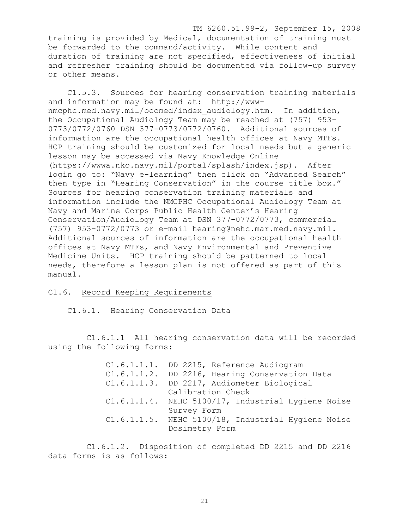TM 6260.51.99-2, September 15, 2008 training is provided by Medical, documentation of training must be forwarded to the command/activity. While content and duration of training are not specified, effectiveness of initial and refresher training should be documented via follow-up survey or other means.

 C1.5.3. Sources for hearing conservation training materials and information may be found at: http://wwwnmcphc.med.navy.mil/occmed/index\_audiology.htm. In addition, the Occupational Audiology Team may be reached at (757) 953- 0773/0772/0760 DSN 377-0773/0772/0760. Additional sources of information are the occupational health offices at Navy MTFs. HCP training should be customized for local needs but a generic lesson may be accessed via Navy Knowledge Online (https://wwwa.nko.navy.mil/portal/splash/index.jsp). After login go to: "Navy e-learning" then click on "Advanced Search" then type in "Hearing Conservation" in the course title box." Sources for hearing conservation training materials and information include the NMCPHC Occupational Audiology Team at Navy and Marine Corps Public Health Center's Hearing Conservation/Audiology Team at DSN 377-0772/0773, commercial (757) 953-0772/0773 or e-mail hearing@nehc.mar.med.navy.mil. Additional sources of information are the occupational health offices at Navy MTFs, and Navy Environmental and Preventive Medicine Units. HCP training should be patterned to local needs, therefore a lesson plan is not offered as part of this manual.

## C1.6. Record Keeping Requirements

C1.6.1. Hearing Conservation Data

 C1.6.1.1 All hearing conservation data will be recorded using the following forms:

> C1.6.1.1.1. DD 2215, Reference Audiogram C1.6.1.1.2. DD 2216, Hearing Conservation Data C1.6.1.1.3. DD 2217, Audiometer Biological Calibration Check C1.6.1.1.4. NEHC 5100/17, Industrial Hygiene Noise Survey Form C1.6.1.1.5. NEHC 5100/18, Industrial Hygiene Noise Dosimetry Form

 C1.6.1.2. Disposition of completed DD 2215 and DD 2216 data forms is as follows: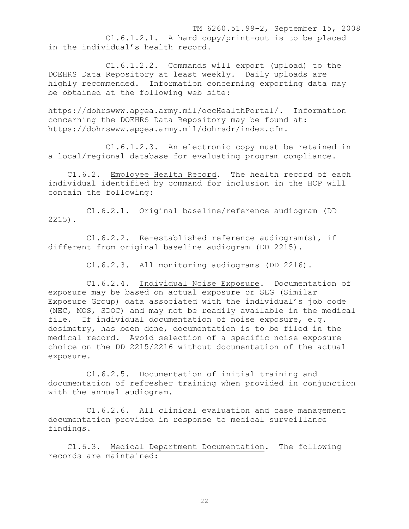TM 6260.51.99-2, September 15, 2008 C1.6.1.2.1. A hard copy/print-out is to be placed in the individual's health record.

 C1.6.1.2.2. Commands will export (upload) to the DOEHRS Data Repository at least weekly. Daily uploads are highly recommended. Information concerning exporting data may be obtained at the following web site:

https://dohrswww.apgea.army.mil/occHealthPortal/. Information concerning the DOEHRS Data Repository may be found at: https://dohrswww.apgea.army.mil/dohrsdr/index.cfm.

 C1.6.1.2.3. An electronic copy must be retained in a local/regional database for evaluating program compliance.

 C1.6.2. Employee Health Record. The health record of each individual identified by command for inclusion in the HCP will contain the following:

 C1.6.2.1. Original baseline/reference audiogram (DD 2215).

 C1.6.2.2. Re-established reference audiogram(s), if different from original baseline audiogram (DD 2215).

C1.6.2.3. All monitoring audiograms (DD 2216).

 C1.6.2.4. Individual Noise Exposure. Documentation of exposure may be based on actual exposure or SEG (Similar Exposure Group) data associated with the individual's job code (NEC, MOS, SDOC) and may not be readily available in the medical file. If individual documentation of noise exposure, e.g. dosimetry, has been done, documentation is to be filed in the medical record. Avoid selection of a specific noise exposure choice on the DD 2215/2216 without documentation of the actual exposure.

 C1.6.2.5. Documentation of initial training and documentation of refresher training when provided in conjunction with the annual audiogram.

 C1.6.2.6. All clinical evaluation and case management documentation provided in response to medical surveillance findings.

 C1.6.3. Medical Department Documentation. The following records are maintained: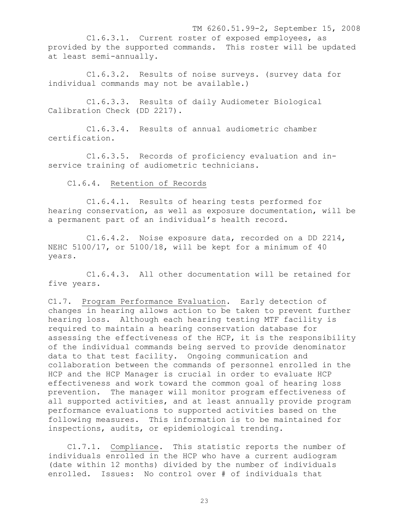TM 6260.51.99-2, September 15, 2008 C1.6.3.1. Current roster of exposed employees, as provided by the supported commands. This roster will be updated at least semi-annually.

 C1.6.3.2. Results of noise surveys. (survey data for individual commands may not be available.)

 C1.6.3.3. Results of daily Audiometer Biological Calibration Check (DD 2217).

 C1.6.3.4. Results of annual audiometric chamber certification.

 C1.6.3.5. Records of proficiency evaluation and inservice training of audiometric technicians.

C1.6.4. Retention of Records

 C1.6.4.1. Results of hearing tests performed for hearing conservation, as well as exposure documentation, will be a permanent part of an individual's health record.

 C1.6.4.2. Noise exposure data, recorded on a DD 2214, NEHC 5100/17, or 5100/18, will be kept for a minimum of 40 years.

 C1.6.4.3. All other documentation will be retained for five years.

C1.7. Program Performance Evaluation. Early detection of changes in hearing allows action to be taken to prevent further hearing loss. Although each hearing testing MTF facility is required to maintain a hearing conservation database for assessing the effectiveness of the HCP, it is the responsibility of the individual commands being served to provide denominator data to that test facility. Ongoing communication and collaboration between the commands of personnel enrolled in the HCP and the HCP Manager is crucial in order to evaluate HCP effectiveness and work toward the common goal of hearing loss prevention. The manager will monitor program effectiveness of all supported activities, and at least annually provide program performance evaluations to supported activities based on the following measures. This information is to be maintained for inspections, audits, or epidemiological trending.

 C1.7.1. Compliance. This statistic reports the number of individuals enrolled in the HCP who have a current audiogram (date within 12 months) divided by the number of individuals enrolled. Issues: No control over # of individuals that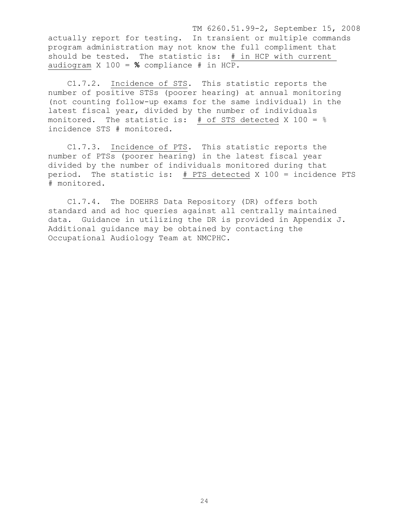TM 6260.51.99-2, September 15, 2008 actually report for testing. In transient or multiple commands program administration may not know the full compliment that should be tested. The statistic is: # in HCP with current audiogram X 100 = **%** compliance # in HCP.

 C1.7.2. Incidence of STS. This statistic reports the number of positive STSs (poorer hearing) at annual monitoring (not counting follow-up exams for the same individual) in the latest fiscal year, divided by the number of individuals monitored. The statistic is:  $#$  of STS detected X 100 =  $%$ incidence STS # monitored.

 C1.7.3. Incidence of PTS. This statistic reports the number of PTSs (poorer hearing) in the latest fiscal year divided by the number of individuals monitored during that period. The statistic is: # PTS detected X 100 = incidence PTS # monitored.

 C1.7.4. The DOEHRS Data Repository (DR) offers both standard and ad hoc queries against all centrally maintained data. Guidance in utilizing the DR is provided in Appendix J. Additional guidance may be obtained by contacting the Occupational Audiology Team at NMCPHC.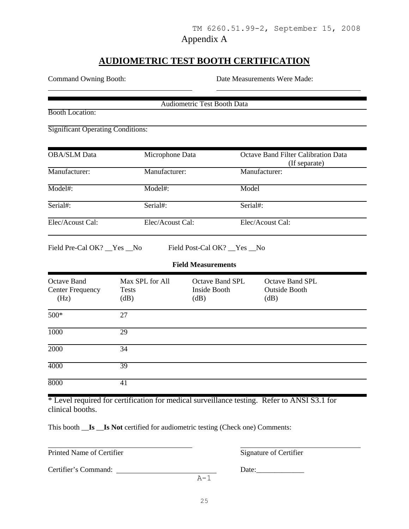## Appendix A

# **AUDIOMETRIC TEST BOOTH CERTIFICATION**

Command Owning Booth: Date Measurements Were Made:

Booth Location:

l

Audiometric Test Booth Data

Significant Operating Conditions:

| <b>OBA/SLM</b> Data | Microphone Data  | <b>Octave Band Filter Calibration Data</b><br>(If separate) |
|---------------------|------------------|-------------------------------------------------------------|
| Manufacturer:       | Manufacturer:    | Manufacturer:                                               |
| Model#:             | $Model#$ :       | Model                                                       |
| Serial#:            | Serial#:         | Serial#:                                                    |
| Elec/Acoust Cal:    | Elec/Acoust Cal: | Elec/Acoust Cal:                                            |

Field Pre-Cal OK? \_\_Yes \_\_No Field Post-Cal OK? \_\_Yes \_\_No

## **Field Measurements**

| <b>Octave Band</b><br><b>Center Frequency</b><br>(Hz) | Max SPL for All<br><b>Tests</b><br>(dB) | <b>Octave Band SPL</b><br>Inside Booth<br>dB) | <b>Octave Band SPL</b><br><b>Outside Booth</b><br>$\overline{\text{dB}}$ |
|-------------------------------------------------------|-----------------------------------------|-----------------------------------------------|--------------------------------------------------------------------------|
| 500*                                                  | 27                                      |                                               |                                                                          |
| 1000                                                  | 29                                      |                                               |                                                                          |
| 2000                                                  | 34                                      |                                               |                                                                          |
| 4000                                                  | 39                                      |                                               |                                                                          |
| 8000                                                  | 41                                      |                                               |                                                                          |

\* Level required for certification for medical surveillance testing. Refer to ANSI S3.1 for clinical booths.

This booth \_\_**Is** \_\_**Is Not** certified for audiometric testing (Check one) Comments:

Printed Name of Certifier Signature of Certifier

l

Certifier's Command: Date:\_\_\_\_\_\_\_\_\_\_\_\_\_

 $A-1$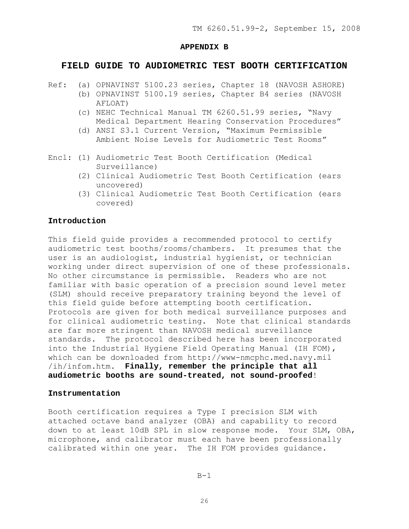#### **APPENDIX B**

## **FIELD GUIDE TO AUDIOMETRIC TEST BOOTH CERTIFICATION**

- Ref: (a) OPNAVINST 5100.23 series, Chapter 18 (NAVOSH ASHORE)
	- (b) OPNAVINST 5100.19 series, Chapter B4 series (NAVOSH AFLOAT)
		- (c) NEHC Technical Manual TM 6260.51.99 series, "Navy Medical Department Hearing Conservation Procedures"
		- (d) ANSI S3.1 Current Version, "Maximum Permissible Ambient Noise Levels for Audiometric Test Rooms"
- Encl: (1) Audiometric Test Booth Certification (Medical Surveillance)
	- (2) Clinical Audiometric Test Booth Certification (ears uncovered)
	- (3) Clinical Audiometric Test Booth Certification (ears covered)

## **Introduction**

This field guide provides a recommended protocol to certify audiometric test booths/rooms/chambers. It presumes that the user is an audiologist, industrial hygienist, or technician working under direct supervision of one of these professionals. No other circumstance is permissible. Readers who are not familiar with basic operation of a precision sound level meter (SLM) should receive preparatory training beyond the level of this field guide before attempting booth certification. Protocols are given for both medical surveillance purposes and for clinical audiometric testing. Note that clinical standards are far more stringent than NAVOSH medical surveillance standards. The protocol described here has been incorporated into the Industrial Hygiene Field Operating Manual (IH FOM), which can be downloaded from http://www-nmcphc.med.navy.mil /ih/infom.htm. **Finally, remember the principle that all audiometric booths are sound-treated, not sound-proofed**!

## **Instrumentation**

Booth certification requires a Type I precision SLM with attached octave band analyzer (OBA) and capability to record down to at least 10dB SPL in slow response mode. Your SLM, OBA, microphone, and calibrator must each have been professionally calibrated within one year. The IH FOM provides guidance.

 $B-1$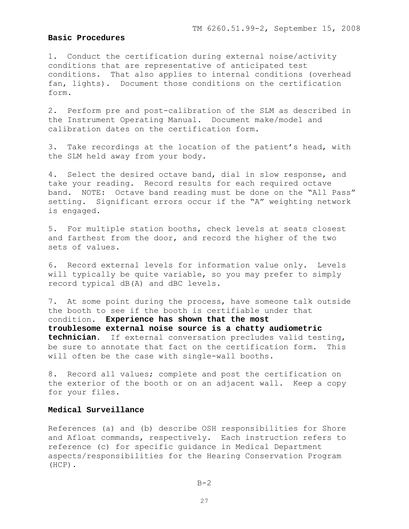## **Basic Procedures**

1. Conduct the certification during external noise/activity conditions that are representative of anticipated test conditions. That also applies to internal conditions (overhead fan, lights). Document those conditions on the certification form.

2. Perform pre and post-calibration of the SLM as described in the Instrument Operating Manual. Document make/model and calibration dates on the certification form.

3. Take recordings at the location of the patient's head, with the SLM held away from your body.

4. Select the desired octave band, dial in slow response, and take your reading. Record results for each required octave band. NOTE: Octave band reading must be done on the "All Pass" setting. Significant errors occur if the "A" weighting network is engaged.

5. For multiple station booths, check levels at seats closest and farthest from the door, and record the higher of the two sets of values.

6. Record external levels for information value only. Levels will typically be quite variable, so you may prefer to simply record typical dB(A) and dBC levels.

7. At some point during the process, have someone talk outside the booth to see if the booth is certifiable under that condition. **Experience has shown that the most troublesome external noise source is a chatty audiometric technician**. If external conversation precludes valid testing, be sure to annotate that fact on the certification form. This will often be the case with single-wall booths.

8. Record all values; complete and post the certification on the exterior of the booth or on an adjacent wall. Keep a copy for your files.

## **Medical Surveillance**

References (a) and (b) describe OSH responsibilities for Shore and Afloat commands, respectively. Each instruction refers to reference (c) for specific guidance in Medical Department aspects/responsibilities for the Hearing Conservation Program (HCP).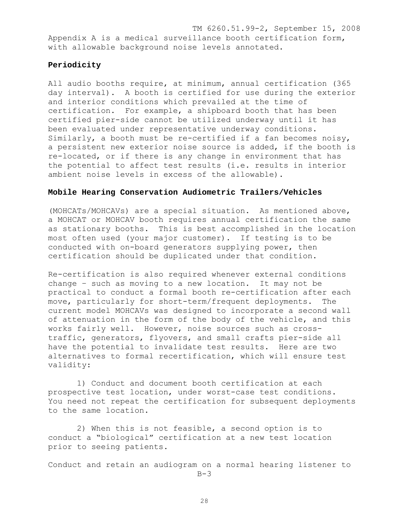TM 6260.51.99-2, September 15, 2008 Appendix A is a medical surveillance booth certification form, with allowable background noise levels annotated.

## **Periodicity**

All audio booths require, at minimum, annual certification (365 day interval). A booth is certified for use during the exterior and interior conditions which prevailed at the time of certification. For example, a shipboard booth that has been certified pier-side cannot be utilized underway until it has been evaluated under representative underway conditions. Similarly, a booth must be re-certified if a fan becomes noisy, a persistent new exterior noise source is added, if the booth is re-located, or if there is any change in environment that has the potential to affect test results (i.e. results in interior ambient noise levels in excess of the allowable).

## **Mobile Hearing Conservation Audiometric Trailers/Vehicles**

(MOHCATs/MOHCAVs) are a special situation. As mentioned above, a MOHCAT or MOHCAV booth requires annual certification the same as stationary booths. This is best accomplished in the location most often used (your major customer). If testing is to be conducted with on-board generators supplying power, then certification should be duplicated under that condition.

Re-certification is also required whenever external conditions change – such as moving to a new location. It may not be practical to conduct a formal booth re-certification after each move, particularly for short-term/frequent deployments. The current model MOHCAVs was designed to incorporate a second wall of attenuation in the form of the body of the vehicle, and this works fairly well. However, noise sources such as crosstraffic, generators, flyovers, and small crafts pier-side all have the potential to invalidate test results. Here are two alternatives to formal recertification, which will ensure test validity:

 1) Conduct and document booth certification at each prospective test location, under worst-case test conditions. You need not repeat the certification for subsequent deployments to the same location.

 2) When this is not feasible, a second option is to conduct a "biological" certification at a new test location prior to seeing patients.

Conduct and retain an audiogram on a normal hearing listener to  $B-3$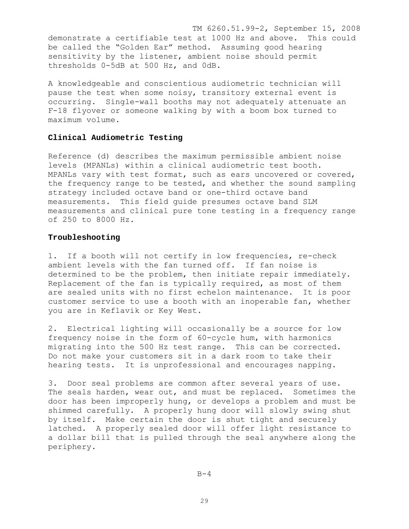TM 6260.51.99-2, September 15, 2008 demonstrate a certifiable test at 1000 Hz and above. This could be called the "Golden Ear" method. Assuming good hearing sensitivity by the listener, ambient noise should permit thresholds 0-5dB at 500 Hz, and 0dB.

A knowledgeable and conscientious audiometric technician will pause the test when some noisy, transitory external event is occurring. Single-wall booths may not adequately attenuate an F-18 flyover or someone walking by with a boom box turned to maximum volume.

## **Clinical Audiometric Testing**

Reference (d) describes the maximum permissible ambient noise levels (MPANLs) within a clinical audiometric test booth. MPANLs vary with test format, such as ears uncovered or covered, the frequency range to be tested, and whether the sound sampling strategy included octave band or one-third octave band measurements. This field guide presumes octave band SLM measurements and clinical pure tone testing in a frequency range of 250 to 8000 Hz.

## **Troubleshooting**

1. If a booth will not certify in low frequencies, re-check ambient levels with the fan turned off. If fan noise is determined to be the problem, then initiate repair immediately. Replacement of the fan is typically required, as most of them are sealed units with no first echelon maintenance. It is poor customer service to use a booth with an inoperable fan, whether you are in Keflavik or Key West.

2. Electrical lighting will occasionally be a source for low frequency noise in the form of 60-cycle hum, with harmonics migrating into the 500 Hz test range. This can be corrected. Do not make your customers sit in a dark room to take their hearing tests. It is unprofessional and encourages napping.

3. Door seal problems are common after several years of use. The seals harden, wear out, and must be replaced. Sometimes the door has been improperly hung, or develops a problem and must be shimmed carefully. A properly hung door will slowly swing shut by itself. Make certain the door is shut tight and securely latched. A properly sealed door will offer light resistance to a dollar bill that is pulled through the seal anywhere along the periphery.

 $B-4$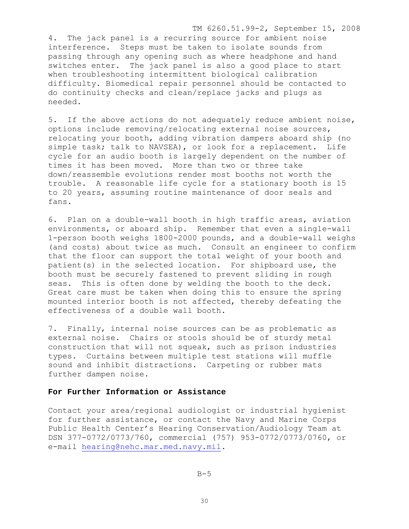TM 6260.51.99-2, September 15, 2008 4. The jack panel is a recurring source for ambient noise interference. Steps must be taken to isolate sounds from passing through any opening such as where headphone and hand switches enter. The jack panel is also a good place to start when troubleshooting intermittent biological calibration difficulty. Biomedical repair personnel should be contacted to do continuity checks and clean/replace jacks and plugs as needed.

5. If the above actions do not adequately reduce ambient noise, options include removing/relocating external noise sources, relocating your booth, adding vibration dampers aboard ship (no simple task; talk to NAVSEA), or look for a replacement. Life cycle for an audio booth is largely dependent on the number of times it has been moved. More than two or three take down/reassemble evolutions render most booths not worth the trouble. A reasonable life cycle for a stationary booth is 15 to 20 years, assuming routine maintenance of door seals and fans.

6. Plan on a double-wall booth in high traffic areas, aviation environments, or aboard ship. Remember that even a single-wall 1-person booth weighs 1800-2000 pounds, and a double-wall weighs (and costs) about twice as much. Consult an engineer to confirm that the floor can support the total weight of your booth and patient(s) in the selected location. For shipboard use, the booth must be securely fastened to prevent sliding in rough seas. This is often done by welding the booth to the deck. Great care must be taken when doing this to ensure the spring mounted interior booth is not affected, thereby defeating the effectiveness of a double wall booth.

7. Finally, internal noise sources can be as problematic as external noise. Chairs or stools should be of sturdy metal construction that will not squeak, such as prison industries types. Curtains between multiple test stations will muffle sound and inhibit distractions. Carpeting or rubber mats further dampen noise.

## **For Further Information or Assistance**

Contact your area/regional audiologist or industrial hygienist for further assistance, or contact the Navy and Marine Corps Public Health Center's Hearing Conservation/Audiology Team at DSN 377-0772/0773/760, commercial (757) 953-0772/0773/0760, or e-mail hearing@nehc.mar.med.navy.mil.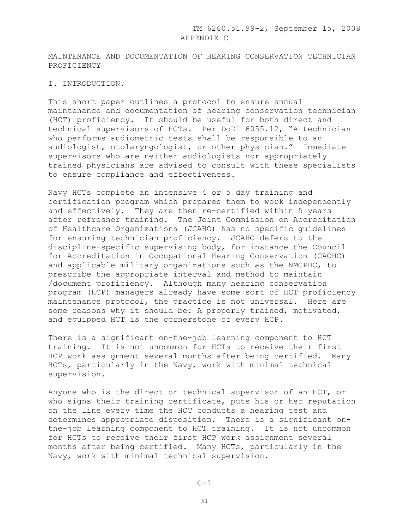MAINTENANCE AND DOCUMENTATION OF HEARING CONSERVATION TECHNICIAN PROFICIENCY

#### I. INTRODUCTION.

This short paper outlines a protocol to ensure annual maintenance and documentation of hearing conservation technician (HCT) proficiency. It should be useful for both direct and technical supervisors of HCTs. Per DoDI 6055.12, "A technician who performs audiometric tests shall be responsible to an audiologist, otolaryngologist, or other physician." Immediate supervisors who are neither audiologists nor appropriately trained physicians are advised to consult with these specialists to ensure compliance and effectiveness.

Navy HCTs complete an intensive 4 or 5 day training and certification program which prepares them to work independently and effectively. They are then re-certified within 5 years after refresher training. The Joint Commission on Accreditation of Healthcare Organizations (JCAHO) has no specific guidelines for ensuring technician proficiency. JCAHO defers to the discipline-specific supervising body, for instance the Council for Accreditation in Occupational Hearing Conservation (CAOHC) and applicable military organizations such as the NMCPHC, to prescribe the appropriate interval and method to maintain /document proficiency. Although many hearing conservation program (HCP) managers already have some sort of HCT proficiency maintenance protocol, the practice is not universal. Here are some reasons why it should be: A properly trained, motivated, and equipped HCT is the cornerstone of every HCP.

There is a significant on-the-job learning component to HCT training. It is not uncommon for HCTs to receive their first HCP work assignment several months after being certified. Many HCTs, particularly in the Navy, work with minimal technical supervision.

Anyone who is the direct or technical supervisor of an HCT, or who signs their training certificate, puts his or her reputation on the line every time the HCT conducts a hearing test and determines appropriate disposition. There is a significant onthe-job learning component to HCT training. It is not uncommon for HCTs to receive their first HCP work assignment several months after being certified. Many HCTs, particularly in the Navy, work with minimal technical supervision.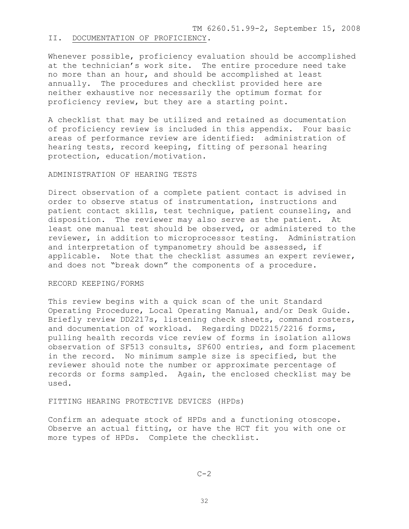TM 6260.51.99-2, September 15, 2008

### II. DOCUMENTATION OF PROFICIENCY.

Whenever possible, proficiency evaluation should be accomplished at the technician's work site. The entire procedure need take no more than an hour, and should be accomplished at least annually. The procedures and checklist provided here are neither exhaustive nor necessarily the optimum format for proficiency review, but they are a starting point.

A checklist that may be utilized and retained as documentation of proficiency review is included in this appendix. Four basic areas of performance review are identified: administration of hearing tests, record keeping, fitting of personal hearing protection, education/motivation.

#### ADMINISTRATION OF HEARING TESTS

Direct observation of a complete patient contact is advised in order to observe status of instrumentation, instructions and patient contact skills, test technique, patient counseling, and disposition. The reviewer may also serve as the patient. At least one manual test should be observed, or administered to the reviewer, in addition to microprocessor testing. Administration and interpretation of tympanometry should be assessed, if applicable. Note that the checklist assumes an expert reviewer, and does not "break down" the components of a procedure.

## RECORD KEEPING/FORMS

This review begins with a quick scan of the unit Standard Operating Procedure, Local Operating Manual, and/or Desk Guide. Briefly review DD2217s, listening check sheets, command rosters, and documentation of workload. Regarding DD2215/2216 forms, pulling health records vice review of forms in isolation allows observation of SF513 consults, SF600 entries, and form placement in the record. No minimum sample size is specified, but the reviewer should note the number or approximate percentage of records or forms sampled. Again, the enclosed checklist may be used.

## FITTING HEARING PROTECTIVE DEVICES (HPDs)

Confirm an adequate stock of HPDs and a functioning otoscope. Observe an actual fitting, or have the HCT fit you with one or more types of HPDs. Complete the checklist.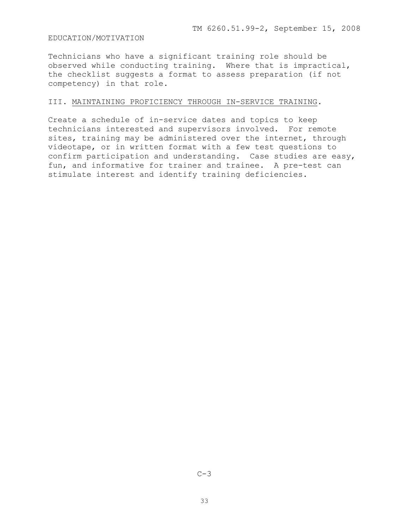## EDUCATION/MOTIVATION

Technicians who have a significant training role should be observed while conducting training. Where that is impractical, the checklist suggests a format to assess preparation (if not competency) in that role.

### III. MAINTAINING PROFICIENCY THROUGH IN-SERVICE TRAINING.

Create a schedule of in-service dates and topics to keep technicians interested and supervisors involved. For remote sites, training may be administered over the internet, through videotape, or in written format with a few test questions to confirm participation and understanding. Case studies are easy, fun, and informative for trainer and trainee. A pre-test can stimulate interest and identify training deficiencies.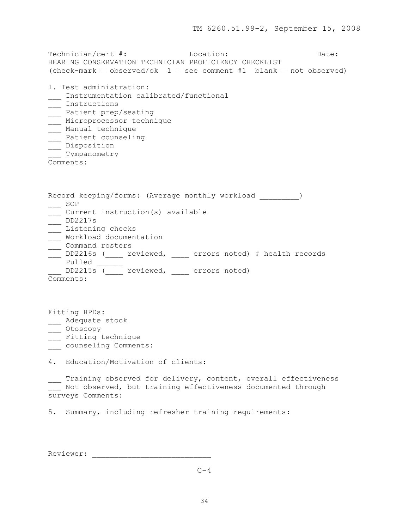Technician/cert #: Location: Date: Date: HEARING CONSERVATION TECHNICIAN PROFICIENCY CHECKLIST  $(check-mark = observed/ok 1 = see comment #1 blank = not observed)$ 1. Test administration: \_\_\_ Instrumentation calibrated/functional \_\_\_ Instructions \_\_\_ Patient prep/seating \_\_\_ Microprocessor technique \_\_\_ Manual technique \_\_\_ Patient counseling \_\_\_ Disposition Tympanometry Comments: Record keeping/forms: (Average monthly workload \_\_\_\_\_\_\_\_) \_\_\_ SOP \_\_\_ Current instruction(s) available \_\_\_ DD2217s \_\_\_ Listening checks \_\_\_ Workload documentation command rosters \_\_\_ DD2216s (\_\_\_\_ reviewed, \_\_\_\_ errors noted) # health records Pulled \_\_\_ DD2215s (\_\_\_\_ reviewed, \_\_\_\_ errors noted) Comments: Fitting HPDs: \_\_\_ Adequate stock \_\_\_ Otoscopy

- \_\_\_ Fitting technique
- \_\_\_\_ counseling Comments:

4. Education/Motivation of clients:

\_\_\_ Training observed for delivery, content, overall effectiveness whist observed, but training effectiveness documented through surveys Comments:

5. Summary, including refresher training requirements:

Reviewer: \_\_\_\_\_\_\_\_\_\_\_\_\_\_\_\_\_\_\_\_\_\_\_\_\_\_\_

 $C-4$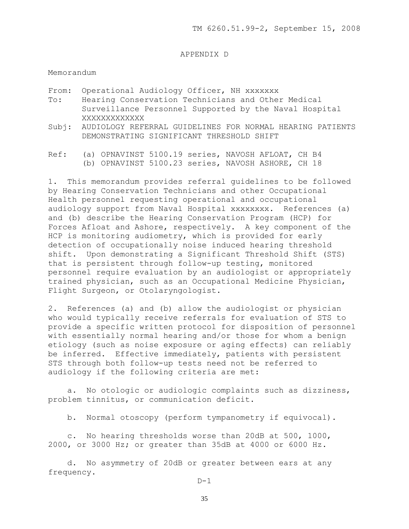#### APPENDIX D

#### Memorandum

- From: Operational Audiology Officer, NH XXXXXXX
- To: Hearing Conservation Technicians and Other Medical Surveillance Personnel Supported by the Naval Hospital XXXXXXXXXXXXX
- Subj: AUDIOLOGY REFERRAL GUIDELINES FOR NORMAL HEARING PATIENTS DEMONSTRATING SIGNIFICANT THRESHOLD SHIFT
- Ref: (a) OPNAVINST 5100.19 series, NAVOSH AFLOAT, CH B4 (b) OPNAVINST 5100.23 series, NAVOSH ASHORE, CH 18

1. This memorandum provides referral guidelines to be followed by Hearing Conservation Technicians and other Occupational Health personnel requesting operational and occupational audiology support from Naval Hospital xxxxxxxx. References (a) and (b) describe the Hearing Conservation Program (HCP) for Forces Afloat and Ashore, respectively. A key component of the HCP is monitoring audiometry, which is provided for early detection of occupationally noise induced hearing threshold shift. Upon demonstrating a Significant Threshold Shift (STS) that is persistent through follow-up testing, monitored personnel require evaluation by an audiologist or appropriately trained physician, such as an Occupational Medicine Physician, Flight Surgeon, or Otolaryngologist.

2. References (a) and (b) allow the audiologist or physician who would typically receive referrals for evaluation of STS to provide a specific written protocol for disposition of personnel with essentially normal hearing and/or those for whom a benign etiology (such as noise exposure or aging effects) can reliably be inferred. Effective immediately, patients with persistent STS through both follow-up tests need not be referred to audiology if the following criteria are met:

 a. No otologic or audiologic complaints such as dizziness, problem tinnitus, or communication deficit.

b. Normal otoscopy (perform tympanometry if equivocal).

 c. No hearing thresholds worse than 20dB at 500, 1000, 2000, or 3000 Hz; or greater than 35dB at 4000 or 6000 Hz.

 d. No asymmetry of 20dB or greater between ears at any frequency.

 $D-1$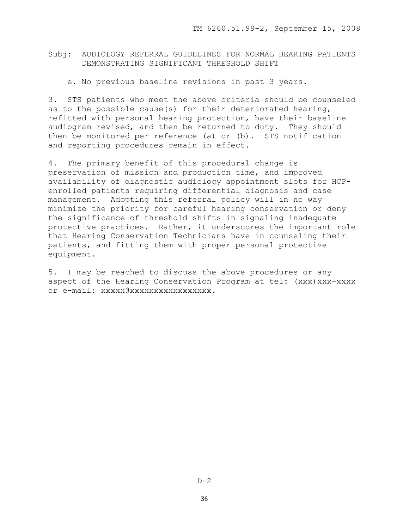Subj: AUDIOLOGY REFERRAL GUIDELINES FOR NORMAL HEARING PATIENTS DEMONSTRATING SIGNIFICANT THRESHOLD SHIFT

e. No previous baseline revisions in past 3 years.

3. STS patients who meet the above criteria should be counseled as to the possible cause(s) for their deteriorated hearing, refitted with personal hearing protection, have their baseline audiogram revised, and then be returned to duty. They should then be monitored per reference (a) or (b). STS notification and reporting procedures remain in effect.

4. The primary benefit of this procedural change is preservation of mission and production time, and improved availability of diagnostic audiology appointment slots for HCPenrolled patients requiring differential diagnosis and case management. Adopting this referral policy will in no way minimize the priority for careful hearing conservation or deny the significance of threshold shifts in signaling inadequate protective practices. Rather, it underscores the important role that Hearing Conservation Technicians have in counseling their patients, and fitting them with proper personal protective equipment.

5. I may be reached to discuss the above procedures or any aspect of the Hearing Conservation Program at tel: (xxx) xxx-xxxx or e-mail: xxxxx@xxxxxxxxxxxxxxxxx.

 $D-2$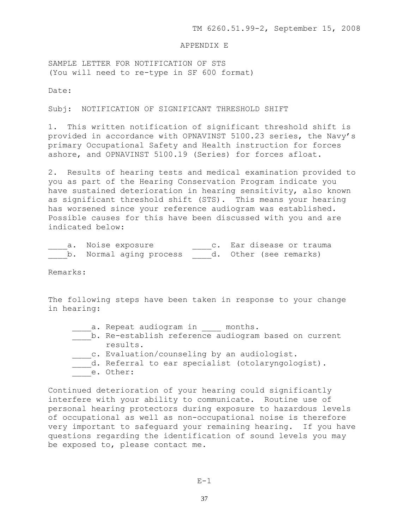#### APPENDIX E

SAMPLE LETTER FOR NOTIFICATION OF STS (You will need to re-type in SF 600 format)

Date:

Subj: NOTIFICATION OF SIGNIFICANT THRESHOLD SHIFT

1. This written notification of significant threshold shift is provided in accordance with OPNAVINST 5100.23 series, the Navy's primary Occupational Safety and Health instruction for forces ashore, and OPNAVINST 5100.19 (Series) for forces afloat.

2. Results of hearing tests and medical examination provided to you as part of the Hearing Conservation Program indicate you have sustained deterioration in hearing sensitivity, also known as significant threshold shift (STS). This means your hearing has worsened since your reference audiogram was established. Possible causes for this have been discussed with you and are indicated below:

| a. Noise exposure       | c. Ear disease or trauma |
|-------------------------|--------------------------|
| b. Normal aging process | d. Other (see remarks)   |

Remarks:

The following steps have been taken in response to your change in hearing:

- \_\_\_\_\_a. Repeat audiogram in \_\_\_\_\_ months.
- b. Re-establish reference audiogram based on current results.
- c. Evaluation/counseling by an audiologist.
- d. Referral to ear specialist (otolaryngologist).
- e. Other:

Continued deterioration of your hearing could significantly interfere with your ability to communicate. Routine use of personal hearing protectors during exposure to hazardous levels of occupational as well as non-occupational noise is therefore very important to safeguard your remaining hearing. If you have questions regarding the identification of sound levels you may be exposed to, please contact me.

 $E-1$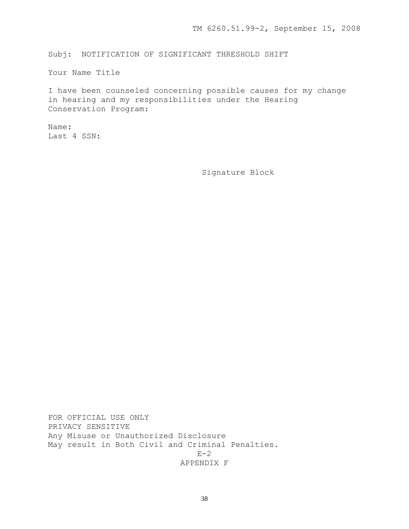Subj: NOTIFICATION OF SIGNIFICANT THRESHOLD SHIFT

Your Name Title

I have been counseled concerning possible causes for my change in hearing and my responsibilities under the Hearing Conservation Program:

Name: Last 4 SSN:

Signature Block

FOR OFFICIAL USE ONLY PRIVACY SENSITIVE Any Misuse or Unauthorized Disclosure May result in Both Civil and Criminal Penalties.  $E-2$ APPENDIX F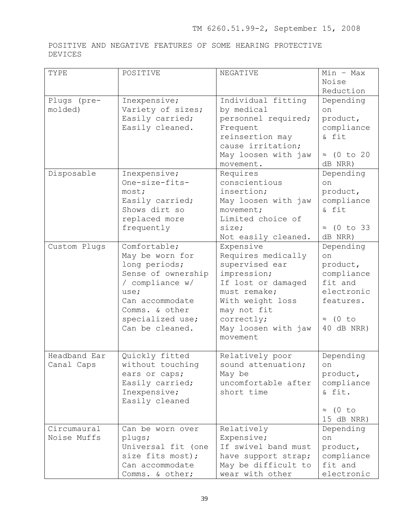POSITIVE AND NEGATIVE FEATURES OF SOME HEARING PROTECTIVE DEVICES

| TYPE         | POSITIVE                           | NEGATIVE                      | $Min - Max$                   |
|--------------|------------------------------------|-------------------------------|-------------------------------|
|              |                                    |                               | Noise                         |
|              |                                    |                               | Reduction                     |
| Plugs (pre-  | Inexpensive;                       | Individual fitting            | Depending                     |
| molded)      | Variety of sizes;                  | by medical                    | on                            |
|              | Easily carried;                    | personnel required;           | product,                      |
|              | Easily cleaned.                    | Frequent                      | compliance                    |
|              |                                    | reinsertion may               | & fit                         |
|              |                                    | cause irritation;             |                               |
|              |                                    | May loosen with jaw           | $\approx$ (0 to 20            |
|              |                                    | movement.                     | dB NRR)                       |
| Disposable   | Inexpensive;                       | Requires                      | Depending                     |
|              | One-size-fits-                     | conscientious                 | on                            |
|              | most;                              | insertion;                    | product,                      |
|              | Easily carried;                    | May loosen with jaw           | compliance                    |
|              | Shows dirt so                      | movement;                     | & fit                         |
|              | replaced more                      | Limited choice of             |                               |
|              | frequently                         | size;                         | $\approx$ (0 to 33            |
|              |                                    | Not easily cleaned.           | dB NRR)                       |
| Custom Plugs | Comfortable;                       | Expensive                     | Depending                     |
|              | May be worn for                    | Requires medically            | on                            |
|              | long periods;                      | supervised ear                | product,                      |
|              | Sense of ownership                 | impression;                   | compliance                    |
|              | / compliance w/                    | If lost or damaged            | fit and                       |
|              | use;                               | must remake;                  | electronic                    |
|              | Can accommodate                    | With weight loss              | features.                     |
|              | Comms. & other                     | may not fit                   |                               |
|              | specialized use;                   | correctly;                    | $\approx$ (0 to               |
|              | Can be cleaned.                    | May loosen with jaw           | 40 dB NRR)                    |
|              |                                    | movement                      |                               |
| Headband Ear |                                    |                               |                               |
|              | Quickly fitted<br>without touching | Relatively poor               | Depending                     |
| Canal Caps   |                                    | sound attenuation;            | $^{\circ}$                    |
|              | ears or caps;                      | May be<br>uncomfortable after | product,<br>compliance        |
|              | Easily carried;                    | short time                    | & fit.                        |
|              | Inexpensive;<br>Easily cleaned     |                               |                               |
|              |                                    |                               |                               |
|              |                                    |                               | $\approx$ (0 to<br>15 dB NRR) |
| Circumaural  | Can be worn over                   |                               |                               |
| Noise Muffs  |                                    | Relatively<br>Expensive;      | Depending<br>on               |
|              | plugs;<br>Universal fit (one       | If swivel band must           | product,                      |
|              | size fits most);                   | have support strap;           | compliance                    |
|              | Can accommodate                    | May be difficult to           | fit and                       |
|              | Comms. & other;                    | wear with other               | electronic                    |
|              |                                    |                               |                               |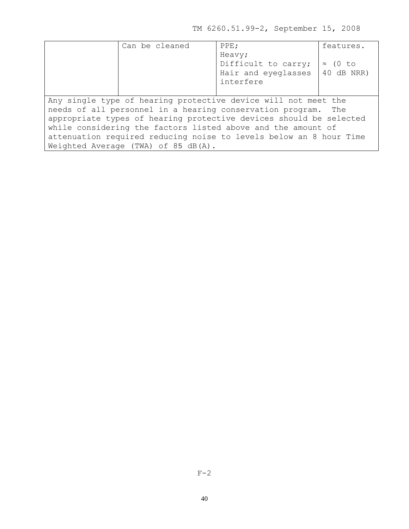TM 6260.51.99-2, September 15, 2008

| Can be cleaned                      | PPE;                                                               | features.       |
|-------------------------------------|--------------------------------------------------------------------|-----------------|
|                                     | Heavy;<br>Difficult to carry;                                      | $\approx$ (0 to |
|                                     | Hair and eyeglasses                                                | 40 dB NRR)      |
|                                     | interfere                                                          |                 |
|                                     |                                                                    |                 |
|                                     | Any single type of hearing protective device will not meet the     |                 |
|                                     | needs of all personnel in a hearing conservation program. The      |                 |
|                                     | appropriate types of hearing protective devices should be selected |                 |
|                                     | while considering the factors listed above and the amount of       |                 |
|                                     | attenuation required reducing noise to levels below an 8 hour Time |                 |
| Weighted Average (TWA) of 85 dB(A). |                                                                    |                 |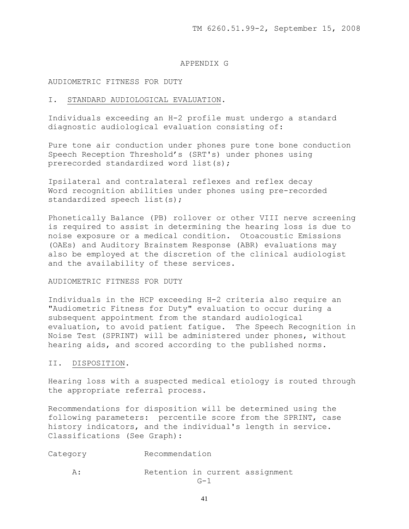#### APPENDIX G

#### AUDIOMETRIC FITNESS FOR DUTY

#### I. STANDARD AUDIOLOGICAL EVALUATION.

Individuals exceeding an H-2 profile must undergo a standard diagnostic audiological evaluation consisting of:

Pure tone air conduction under phones pure tone bone conduction Speech Reception Threshold's (SRT's) under phones using prerecorded standardized word list(s);

Ipsilateral and contralateral reflexes and reflex decay Word recognition abilities under phones using pre-recorded standardized speech list(s);

Phonetically Balance (PB) rollover or other VIII nerve screening is required to assist in determining the hearing loss is due to noise exposure or a medical condition. Otoacoustic Emissions (OAEs) and Auditory Brainstem Response (ABR) evaluations may also be employed at the discretion of the clinical audiologist and the availability of these services.

## AUDIOMETRIC FITNESS FOR DUTY

Individuals in the HCP exceeding H-2 criteria also require an "Audiometric Fitness for Duty" evaluation to occur during a subsequent appointment from the standard audiological evaluation, to avoid patient fatigue. The Speech Recognition in Noise Test (SPRINT) will be administered under phones, without hearing aids, and scored according to the published norms.

## II. DISPOSITION.

Hearing loss with a suspected medical etiology is routed through the appropriate referral process.

Recommendations for disposition will be determined using the following parameters: percentile score from the SPRINT, case history indicators, and the individual's length in service. Classifications (See Graph):

- Category Recommendation
	- A: Retention in current assignment  $G-1$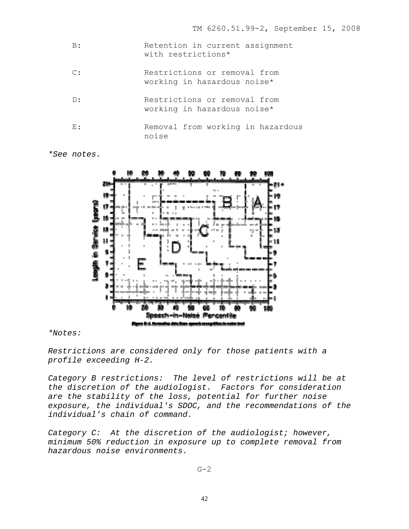| B:             | Retention in current assignment<br>with restrictions*       |
|----------------|-------------------------------------------------------------|
| $\mathbb{C}$ : | Restrictions or removal from<br>working in hazardous noise* |
| D:             | Restrictions or removal from<br>working in hazardous noise* |
| E:             | Removal from working in hazardous<br>noise                  |

*\*See notes.* 



*\*Notes:* 

*Restrictions are considered only for those patients with a profile exceeding H-2.*

*Category B restrictions: The level of restrictions will be at the discretion of the audiologist. Factors for consideration are the stability of the loss, potential for further noise exposure, the individual's SDOC, and the recommendations of the individual's chain of command.*

*Category C: At the discretion of the audiologist; however, minimum 50% reduction in exposure up to complete removal from hazardous noise environments.*

 $G-2$